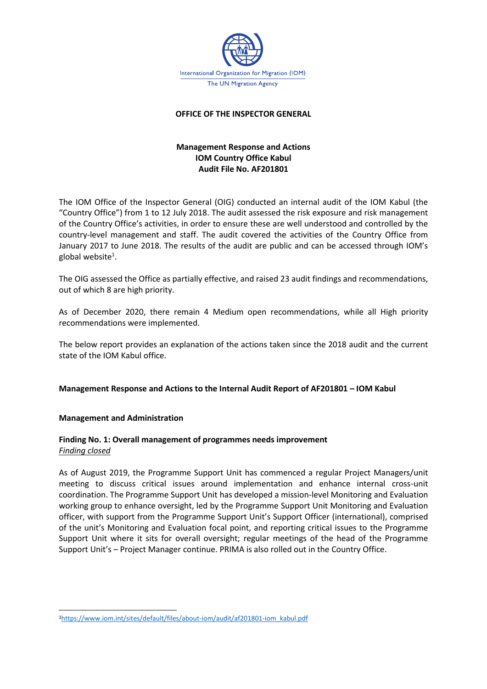

#### **OFFICE OF THE INSPECTOR GENERAL**

# **Management Response and Actions IOM Country Office Kabul Audit File No. AF201801**

The IOM Office of the Inspector General (OIG) conducted an internal audit of the IOM Kabul (the "Country Office") from 1 to 12 July 2018. The audit assessed the risk exposure and risk management of the Country Office's activities, in order to ensure these are well understood and controlled by the country-level management and staff. The audit covered the activities of the Country Office from January 2017 to June 2018. The results of the audit are public and can be accessed through IOM's global website<sup>1</sup>.

The OIG assessed the Office as partially effective, and raised 23 audit findings and recommendations, out of which 8 are high priority.

As of December 2020, there remain 4 Medium open recommendations, while all High priority recommendations were implemented.

The below report provides an explanation of the actions taken since the 2018 audit and the current state of the IOM Kabul office.

#### **Management Response and Actions to the Internal Audit Report of AF201801 – IOM Kabul**

#### **Management and Administration**

## **Finding No. 1: Overall management of programmes needs improvement** *Finding closed*

As of August 2019, the Programme Support Unit has commenced a regular Project Managers/unit meeting to discuss critical issues around implementation and enhance internal cross-unit coordination. The Programme Support Unit has developed a mission-level Monitoring and Evaluation working group to enhance oversight, led by the Programme Support Unit Monitoring and Evaluation officer, with support from the Programme Support Unit's Support Officer (international), comprised of the unit's Monitoring and Evaluation focal point, and reporting critical issues to the Programme Support Unit where it sits for overall oversight; regular meetings of the head of the Programme Support Unit's – Project Manager continue. PRIMA is also rolled out in the Country Office.

<sup>1</sup>[https://www.iom.int/sites/default/files/about-iom/audit/af201801-iom\\_kabul.pdf](https://www.iom.int/sites/default/files/about-iom/audit/af201801-iom_kabul.pdf)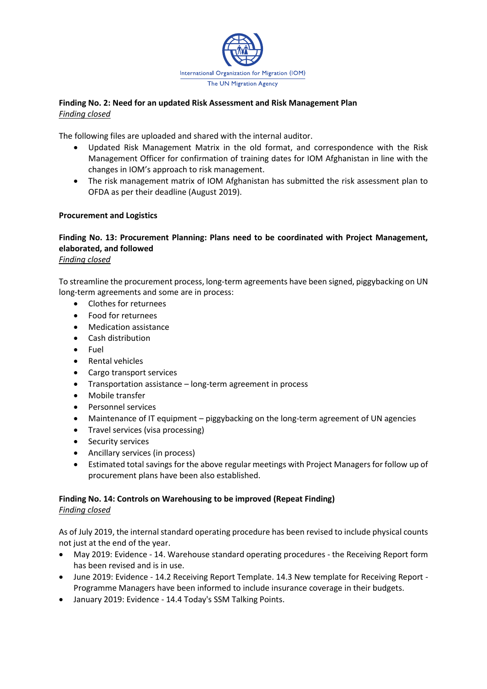

## **Finding No. 2: Need for an updated Risk Assessment and Risk Management Plan**  *Finding closed*

The following files are uploaded and shared with the internal auditor.

- Updated Risk Management Matrix in the old format, and correspondence with the Risk Management Officer for confirmation of training dates for IOM Afghanistan in line with the changes in IOM's approach to risk management.
- The risk management matrix of IOM Afghanistan has submitted the risk assessment plan to OFDA as per their deadline (August 2019).

## **Procurement and Logistics**

#### **Finding No. 13: Procurement Planning: Plans need to be coordinated with Project Management, elaborated, and followed**  *Finding closed*

To streamline the procurement process, long-term agreements have been signed, piggybacking on UN long-term agreements and some are in process:

- Clothes for returnees
- Food for returnees
- Medication assistance
- Cash distribution
- Fuel
- Rental vehicles
- Cargo transport services
- Transportation assistance long-term agreement in process
- Mobile transfer
- Personnel services
- Maintenance of IT equipment piggybacking on the long-term agreement of UN agencies
- Travel services (visa processing)
- Security services
- Ancillary services (in process)
- Estimated total savings for the above regular meetings with Project Managers for follow up of procurement plans have been also established.

#### **Finding No. 14: Controls on Warehousing to be improved (Repeat Finding)** *Finding closed*

As of July 2019, the internal standard operating procedure has been revised to include physical counts not just at the end of the year.

- May 2019: Evidence 14. Warehouse standard operating procedures the Receiving Report form has been revised and is in use.
- June 2019: Evidence 14.2 Receiving Report Template. 14.3 New template for Receiving Report Programme Managers have been informed to include insurance coverage in their budgets.
- January 2019: Evidence 14.4 Today's SSM Talking Points.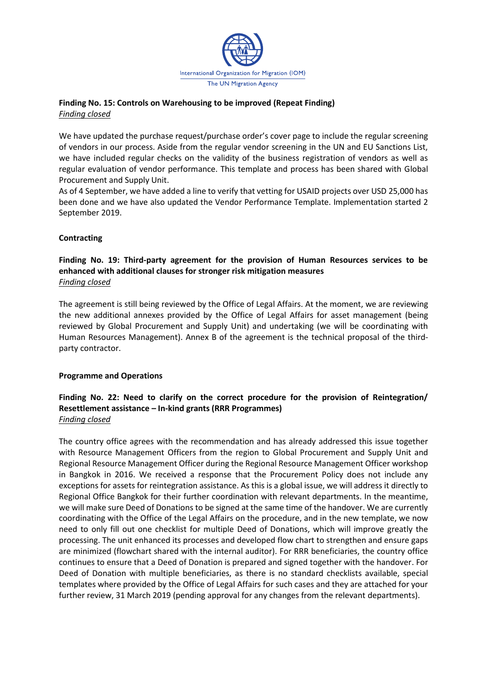

## **Finding No. 15: Controls on Warehousing to be improved (Repeat Finding)** *Finding closed*

We have updated the purchase request/purchase order's cover page to include the regular screening of vendors in our process. Aside from the regular vendor screening in the UN and EU Sanctions List, we have included regular checks on the validity of the business registration of vendors as well as regular evaluation of vendor performance. This template and process has been shared with Global Procurement and Supply Unit.

As of 4 September, we have added a line to verify that vetting for USAID projects over USD 25,000 has been done and we have also updated the Vendor Performance Template. Implementation started 2 September 2019.

## **Contracting**

## **Finding No. 19: Third-party agreement for the provision of Human Resources services to be enhanced with additional clauses for stronger risk mitigation measures**  *Finding closed*

The agreement is still being reviewed by the Office of Legal Affairs. At the moment, we are reviewing the new additional annexes provided by the Office of Legal Affairs for asset management (being reviewed by Global Procurement and Supply Unit) and undertaking (we will be coordinating with Human Resources Management). Annex B of the agreement is the technical proposal of the thirdparty contractor.

## **Programme and Operations**

## **Finding No. 22: Need to clarify on the correct procedure for the provision of Reintegration/ Resettlement assistance – In-kind grants (RRR Programmes)**  *Finding closed*

The country office agrees with the recommendation and has already addressed this issue together with Resource Management Officers from the region to Global Procurement and Supply Unit and Regional Resource Management Officer during the Regional Resource Management Officer workshop in Bangkok in 2016. We received a response that the Procurement Policy does not include any exceptions for assets for reintegration assistance. As this is a global issue, we will address it directly to Regional Office Bangkok for their further coordination with relevant departments. In the meantime, we will make sure Deed of Donations to be signed at the same time of the handover. We are currently coordinating with the Office of the Legal Affairs on the procedure, and in the new template, we now need to only fill out one checklist for multiple Deed of Donations, which will improve greatly the processing. The unit enhanced its processes and developed flow chart to strengthen and ensure gaps are minimized (flowchart shared with the internal auditor). For RRR beneficiaries, the country office continues to ensure that a Deed of Donation is prepared and signed together with the handover. For Deed of Donation with multiple beneficiaries, as there is no standard checklists available, special templates where provided by the Office of Legal Affairs for such cases and they are attached for your further review, 31 March 2019 (pending approval for any changes from the relevant departments).